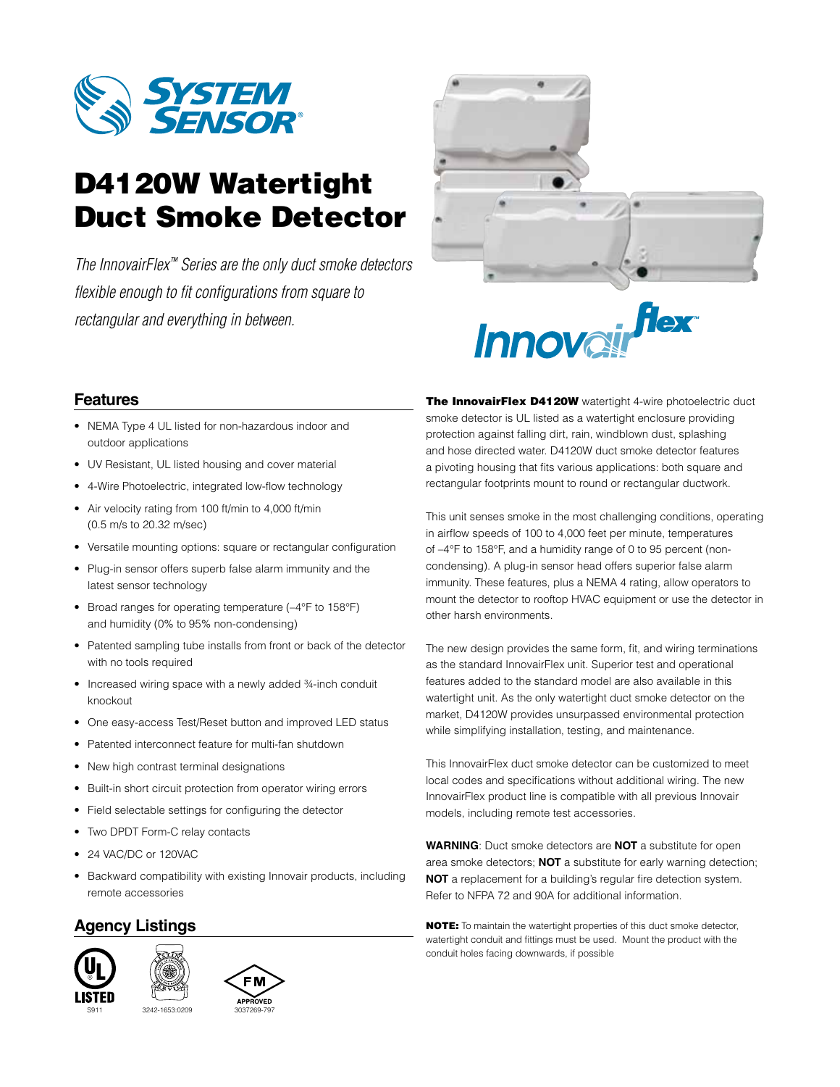

# D4120W Watertight Duct Smoke Detector

*The InnovairFlex™ Series are the only duct smoke detectors flexible enough to fit configurations from square to rectangular and everything in between.*



# flex Innova

# **Features**

- NEMA Type 4 UL listed for non-hazardous indoor and outdoor applications
- UV Resistant, UL listed housing and cover material
- 4-Wire Photoelectric, integrated low-flow technology
- Air velocity rating from 100 ft/min to 4,000 ft/min (0.5 m/s to 20.32 m/sec)
- Versatile mounting options: square or rectangular configuration
- Plug-in sensor offers superb false alarm immunity and the latest sensor technology
- Broad ranges for operating temperature (–4°F to 158°F) and humidity (0% to 95% non-condensing)
- Patented sampling tube installs from front or back of the detector with no tools required
- Increased wiring space with a newly added 3/4-inch conduit knockout
- One easy-access Test/Reset button and improved LED status
- Patented interconnect feature for multi-fan shutdown
- New high contrast terminal designations
- Built-in short circuit protection from operator wiring errors
- Field selectable settings for configuring the detector
- Two DPDT Form-C relay contacts
- 24 VAC/DC or 120VAC
- Backward compatibility with existing Innovair products, including remote accessories

### **Agency Listings**







The InnovairFlex D4120W watertight 4-wire photoelectric duct smoke detector is UL listed as a watertight enclosure providing protection against falling dirt, rain, windblown dust, splashing and hose directed water. D4120W duct smoke detector features a pivoting housing that fits various applications: both square and rectangular footprints mount to round or rectangular ductwork.

This unit senses smoke in the most challenging conditions, operating in airflow speeds of 100 to 4,000 feet per minute, temperatures of –4°F to 158°F, and a humidity range of 0 to 95 percent (noncondensing). A plug-in sensor head offers superior false alarm immunity. These features, plus a NEMA 4 rating, allow operators to mount the detector to rooftop HVAC equipment or use the detector in other harsh environments.

The new design provides the same form, fit, and wiring terminations as the standard InnovairFlex unit. Superior test and operational features added to the standard model are also available in this watertight unit. As the only watertight duct smoke detector on the market, D4120W provides unsurpassed environmental protection while simplifying installation, testing, and maintenance.

This InnovairFlex duct smoke detector can be customized to meet local codes and specifications without additional wiring. The new InnovairFlex product line is compatible with all previous Innovair models, including remote test accessories.

**WARNING**: Duct smoke detectors are **NOT** a substitute for open area smoke detectors; **NOT** a substitute for early warning detection; **NOT** a replacement for a building's regular fire detection system. Refer to NFPA 72 and 90A for additional information.

NOTE: To maintain the watertight properties of this duct smoke detector, watertight conduit and fittings must be used. Mount the product with the conduit holes facing downwards, if possible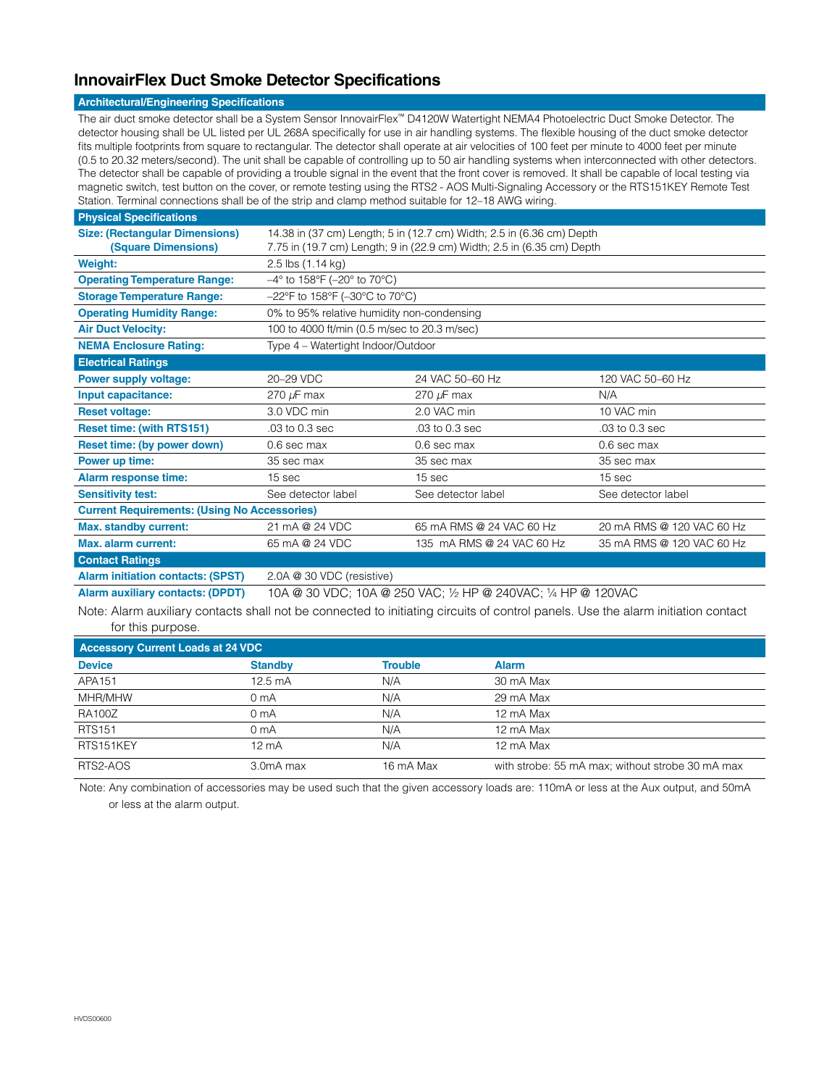# **InnovairFlex Duct Smoke Detector Specifications**

#### **Architectural/Engineering Specifications**

The air duct smoke detector shall be a System Sensor InnovairFlex™ D4120W Watertight NEMA4 Photoelectric Duct Smoke Detector. The detector housing shall be UL listed per UL 268A specifically for use in air handling systems. The flexible housing of the duct smoke detector fits multiple footprints from square to rectangular. The detector shall operate at air velocities of 100 feet per minute to 4000 feet per minute (0.5 to 20.32 meters/second). The unit shall be capable of controlling up to 50 air handling systems when interconnected with other detectors. The detector shall be capable of providing a trouble signal in the event that the front cover is removed. It shall be capable of local testing via magnetic switch, test button on the cover, or remote testing using the RTS2 - AOS Multi-Signaling Accessory or the RTS151KEY Remote Test Station. Terminal connections shall be of the strip and clamp method suitable for 12–18 AWG wiring.

| <b>Physical Specifications</b>                      |                                                                           |                           |                           |  |  |
|-----------------------------------------------------|---------------------------------------------------------------------------|---------------------------|---------------------------|--|--|
| <b>Size: (Rectangular Dimensions)</b>               | 14.38 in (37 cm) Length; 5 in (12.7 cm) Width; 2.5 in (6.36 cm) Depth     |                           |                           |  |  |
| (Square Dimensions)                                 | 7.75 in (19.7 cm) Length; 9 in (22.9 cm) Width; 2.5 in (6.35 cm) Depth    |                           |                           |  |  |
| <b>Weight:</b>                                      | 2.5 lbs (1.14 kg)                                                         |                           |                           |  |  |
| <b>Operating Temperature Range:</b>                 | $-4^{\circ}$ to 158°F (-20° to 70°C)                                      |                           |                           |  |  |
| <b>Storage Temperature Range:</b>                   | $-22^{\circ}$ F to 158 $^{\circ}$ F ( $-30^{\circ}$ C to 70 $^{\circ}$ C) |                           |                           |  |  |
| <b>Operating Humidity Range:</b>                    | 0% to 95% relative humidity non-condensing                                |                           |                           |  |  |
| <b>Air Duct Velocity:</b>                           | 100 to 4000 ft/min (0.5 m/sec to 20.3 m/sec)                              |                           |                           |  |  |
| <b>NEMA Enclosure Rating:</b>                       | Type 4 – Watertight Indoor/Outdoor                                        |                           |                           |  |  |
| <b>Electrical Ratings</b>                           |                                                                           |                           |                           |  |  |
| <b>Power supply voltage:</b>                        | 20-29 VDC                                                                 | 24 VAC 50-60 Hz           | 120 VAC 50-60 Hz          |  |  |
| Input capacitance:                                  | 270 $\mu$ F max                                                           | 270 $\mu$ F max           | N/A                       |  |  |
| <b>Reset voltage:</b>                               | 3.0 VDC min                                                               | 2.0 VAC min               | 10 VAC min                |  |  |
| <b>Reset time: (with RTS151)</b>                    | .03 to 0.3 sec                                                            | .03 to 0.3 sec            | .03 to 0.3 sec            |  |  |
| Reset time: (by power down)                         | 0.6 sec max                                                               | 0.6 sec max               | 0.6 sec max               |  |  |
| Power up time:                                      | 35 sec max                                                                | 35 sec max                | 35 sec max                |  |  |
| <b>Alarm response time:</b>                         | 15 sec                                                                    | 15 sec                    | 15 sec                    |  |  |
| <b>Sensitivity test:</b>                            | See detector label                                                        | See detector label        | See detector label        |  |  |
| <b>Current Requirements: (Using No Accessories)</b> |                                                                           |                           |                           |  |  |
| <b>Max. standby current:</b>                        | 21 mA @ 24 VDC                                                            | 65 mA RMS @ 24 VAC 60 Hz  | 20 mA RMS @ 120 VAC 60 Hz |  |  |
| Max. alarm current:                                 | 65 mA @ 24 VDC                                                            | 135 mA RMS @ 24 VAC 60 Hz | 35 mA RMS @ 120 VAC 60 Hz |  |  |
| <b>Contact Ratings</b>                              |                                                                           |                           |                           |  |  |
| <b>Alarm initiation contacts: (SPST)</b>            | 2.0A @ 30 VDC (resistive)                                                 |                           |                           |  |  |

**Alarm auxiliary contacts: (DPDT)** 10A @ 30 VDC; 10A @ 250 VAC; ½ HP @ 240VAC; ¼ HP @ 120VAC

Note: Alarm auxiliary contacts shall not be connected to initiating circuits of control panels. Use the alarm initiation contact for this purpose.

| <b>Accessory Current Loads at 24 VDC</b> |                   |                |                                                  |  |  |
|------------------------------------------|-------------------|----------------|--------------------------------------------------|--|--|
| <b>Device</b>                            | <b>Standby</b>    | <b>Trouble</b> | <b>Alarm</b>                                     |  |  |
| APA151                                   | $12.5 \text{ mA}$ | N/A            | 30 mA Max                                        |  |  |
| MHR/MHW                                  | 0 <sub>m</sub> A  | N/A            | 29 mA Max                                        |  |  |
| <b>RA100Z</b>                            | 0 <sub>m</sub> A  | N/A            | 12 mA Max                                        |  |  |
| <b>RTS151</b>                            | 0 <sub>m</sub> A  | N/A            | 12 mA Max                                        |  |  |
| RTS151KEY                                | $12 \text{ mA}$   | N/A            | 12 mA Max                                        |  |  |
| RTS2-AOS                                 | 3.0mA max         | 16 mA Max      | with strobe: 55 mA max; without strobe 30 mA max |  |  |

Note: Any combination of accessories may be used such that the given accessory loads are: 110mA or less at the Aux output, and 50mA or less at the alarm output.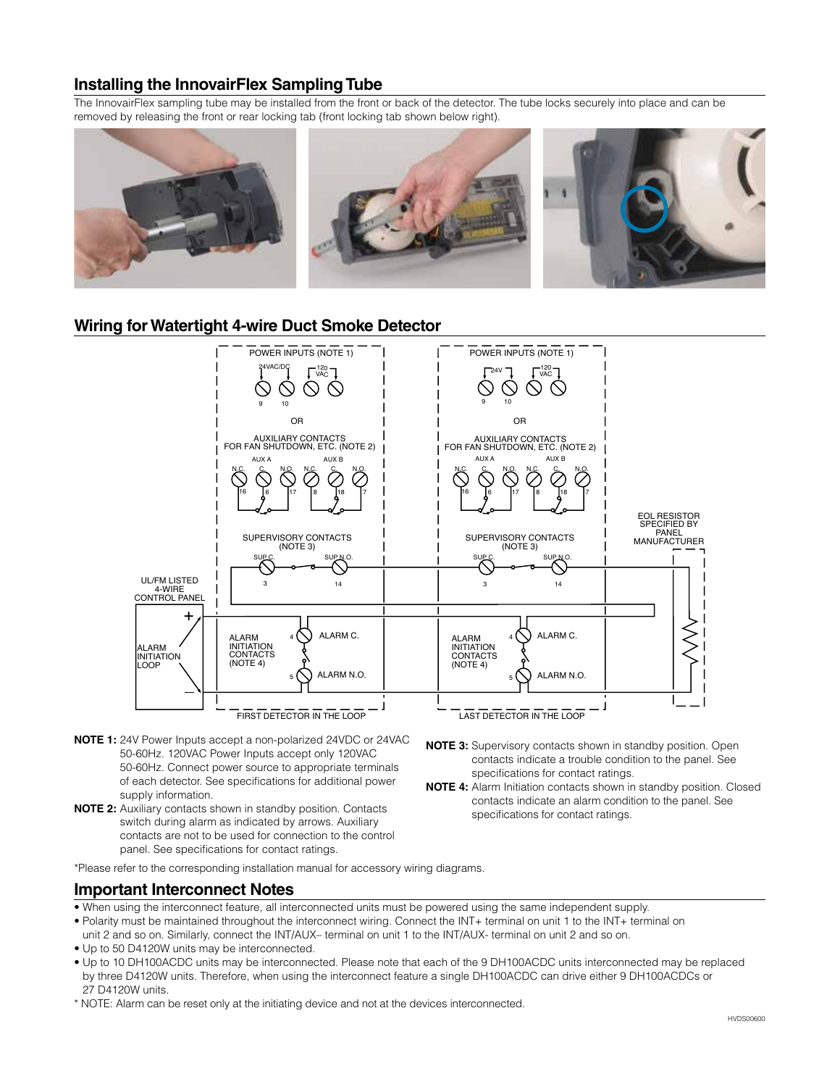## **Installing the InnovairFlex Sampling Tube**

The InnovairFlex sampling tube may be installed from the front or back of the detector. The tube locks securely into place and can be removed by releasing the front or rear locking tab (front locking tab shown below right).



#### **Wiring for Watertight 4-wire Duct Smoke Detector**



- **NOTE 1:** 24V Power Inputs accept a non-polarized 24VDC or 24VAC 50-60Hz. 120VAC Power Inputs accept only 120VAC 50-60Hz. Connect power source to appropriate terminals of each detector. See specifications for additional power supply information.
- **NOTE 2:** Auxiliary contacts shown in standby position. Contacts switch during alarm as indicated by arrows. Auxiliary contacts are not to be used for connection to the control panel. See specifications for contact ratings.
- **NOTE 3:** Supervisory contacts shown in standby position. Open contacts indicate a trouble condition to the panel. See specifications for contact ratings.
- **NOTE 4:** Alarm Initiation contacts shown in standby position. Closed contacts indicate an alarm condition to the panel. See specifications for contact ratings.

\*Please refer to the corresponding installation manual for accessory wiring diagrams.

#### **Important Interconnect Notes**

- When using the interconnect feature, all interconnected units must be powered using the same independent supply.
- Polarity must be maintained throughout the interconnect wiring. Connect the INT+ terminal on unit 1 to the INT+ terminal on
- unit 2 and so on. Similarly, connect the INT/AUX– terminal on unit 1 to the INT/AUX- terminal on unit 2 and so on. • Up to 50 D4120W units may be interconnected.
- Up to 10 DH100ACDC units may be interconnected. Please note that each of the 9 DH100ACDC units interconnected may be replaced by three D4120W units. Therefore, when using the interconnect feature a single DH100ACDC can drive either 9 DH100ACDCs or 27 D4120W units.
- \* NOTE: Alarm can be reset only at the initiating device and not at the devices interconnected.